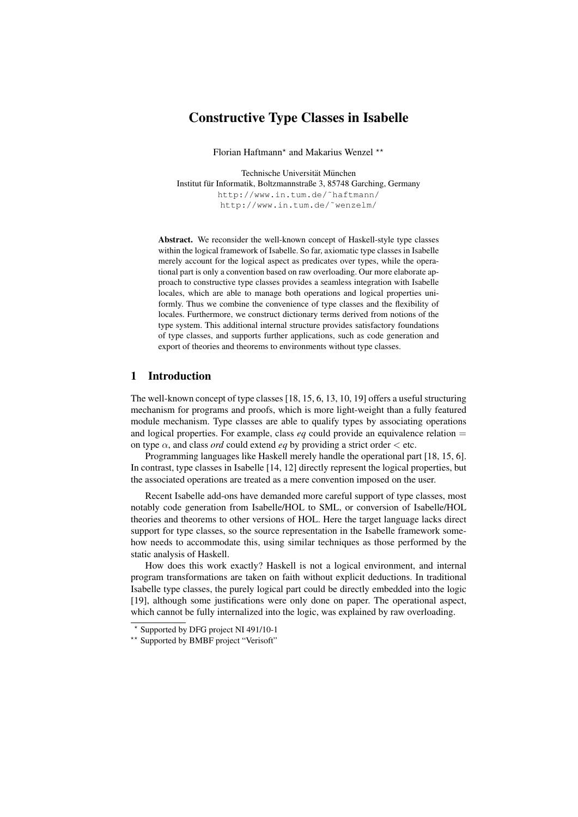# Constructive Type Classes in Isabelle

Florian Haftmann<sup>\*</sup> and Makarius Wenzel \*\*

Technische Universität München Institut fur Informatik, Boltzmannstraße 3, 85748 Garching, Germany ¨ http://www.in.tum.de/˜haftmann/ http://www.in.tum.de/˜wenzelm/

Abstract. We reconsider the well-known concept of Haskell-style type classes within the logical framework of Isabelle. So far, axiomatic type classes in Isabelle merely account for the logical aspect as predicates over types, while the operational part is only a convention based on raw overloading. Our more elaborate approach to constructive type classes provides a seamless integration with Isabelle locales, which are able to manage both operations and logical properties uniformly. Thus we combine the convenience of type classes and the flexibility of locales. Furthermore, we construct dictionary terms derived from notions of the type system. This additional internal structure provides satisfactory foundations of type classes, and supports further applications, such as code generation and export of theories and theorems to environments without type classes.

## 1 Introduction

The well-known concept of type classes [18, 15, 6, 13, 10, 19] offers a useful structuring mechanism for programs and proofs, which is more light-weight than a fully featured module mechanism. Type classes are able to qualify types by associating operations and logical properties. For example, class *eq* could provide an equivalence relation = on type  $\alpha$ , and class *ord* could extend *eq* by providing a strict order  $\lt$  etc.

Programming languages like Haskell merely handle the operational part [18, 15, 6]. In contrast, type classes in Isabelle [14, 12] directly represent the logical properties, but the associated operations are treated as a mere convention imposed on the user.

Recent Isabelle add-ons have demanded more careful support of type classes, most notably code generation from Isabelle/HOL to SML, or conversion of Isabelle/HOL theories and theorems to other versions of HOL. Here the target language lacks direct support for type classes, so the source representation in the Isabelle framework somehow needs to accommodate this, using similar techniques as those performed by the static analysis of Haskell.

How does this work exactly? Haskell is not a logical environment, and internal program transformations are taken on faith without explicit deductions. In traditional Isabelle type classes, the purely logical part could be directly embedded into the logic [19], although some justifications were only done on paper. The operational aspect, which cannot be fully internalized into the logic, was explained by raw overloading.

<sup>?</sup> Supported by DFG project NI 491/10-1

<sup>\*\*</sup> Supported by BMBF project "Verisoft"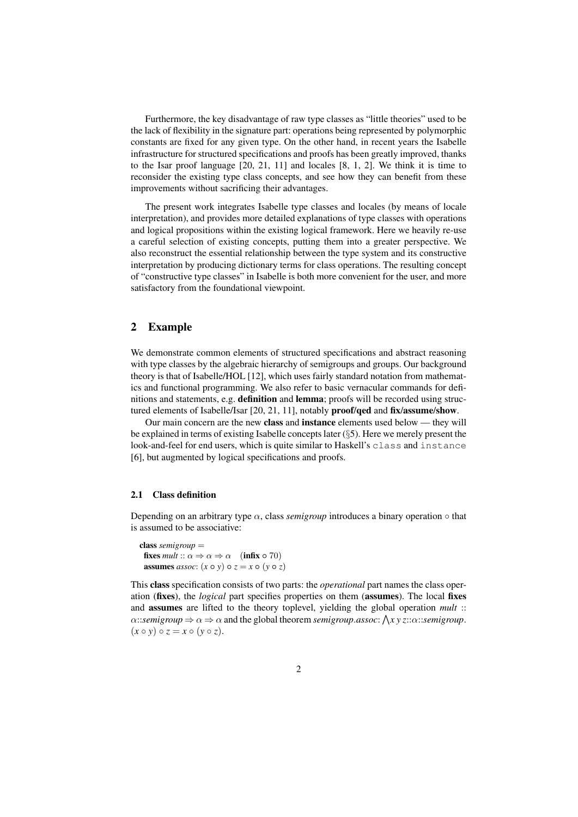Furthermore, the key disadvantage of raw type classes as "little theories" used to be the lack of flexibility in the signature part: operations being represented by polymorphic constants are fixed for any given type. On the other hand, in recent years the Isabelle infrastructure for structured specifications and proofs has been greatly improved, thanks to the Isar proof language [20, 21, 11] and locales [8, 1, 2]. We think it is time to reconsider the existing type class concepts, and see how they can benefit from these improvements without sacrificing their advantages.

The present work integrates Isabelle type classes and locales (by means of locale interpretation), and provides more detailed explanations of type classes with operations and logical propositions within the existing logical framework. Here we heavily re-use a careful selection of existing concepts, putting them into a greater perspective. We also reconstruct the essential relationship between the type system and its constructive interpretation by producing dictionary terms for class operations. The resulting concept of "constructive type classes" in Isabelle is both more convenient for the user, and more satisfactory from the foundational viewpoint.

### 2 Example

We demonstrate common elements of structured specifications and abstract reasoning with type classes by the algebraic hierarchy of semigroups and groups. Our background theory is that of Isabelle/HOL [12], which uses fairly standard notation from mathematics and functional programming. We also refer to basic vernacular commands for definitions and statements, e.g. definition and lemma; proofs will be recorded using structured elements of Isabelle/Isar [20, 21, 11], notably proof/qed and fix/assume/show.

Our main concern are the new class and instance elements used below — they will be explained in terms of existing Isabelle concepts later (§5). Here we merely present the look-and-feel for end users, which is quite similar to Haskell's class and instance [6], but augmented by logical specifications and proofs.

# 2.1 Class definition

Depending on an arbitrary type  $\alpha$ , class *semigroup* introduces a binary operation  $\circ$  that is assumed to be associative:

```
class semigroup =
 fixes mult :: \alpha \Rightarrow \alpha \Rightarrow \alpha (infix \circ 70)
  assumes assoc: (x \circ y) \circ z = x \circ (y \circ z)
```
This class specification consists of two parts: the *operational* part names the class operation (fixes), the *logical* part specifies properties on them (assumes). The local fixes and assumes are lifted to the theory toplevel, yielding the global operation *mult* :: α::*semigroup* ⇒ α ⇒ α and the global theorem *semigroup*.*assoc*: V *x y z*::α::*semigroup*.  $(x \circ y) \circ z = x \circ (y \circ z).$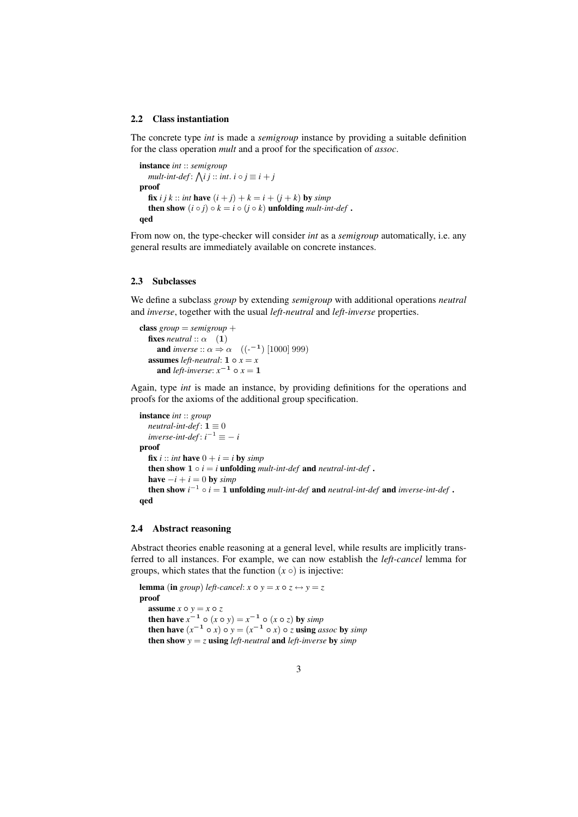#### 2.2 Class instantiation

The concrete type *int* is made a *semigroup* instance by providing a suitable definition for the class operation *mult* and a proof for the specification of *assoc*.

```
instance int :: semigroup
   mult-int-def: \bigwedge i j :: int. i \circ j \equiv i + jproof
   fix i j k :: int have (i + j) + k = i + (j + k) by simp
   then show (i \circ j) \circ k = i \circ (j \circ k) unfolding mult-int-def.
qed
```
From now on, the type-checker will consider *int* as a *semigroup* automatically, i.e. any general results are immediately available on concrete instances.

### 2.3 Subclasses

We define a subclass *group* by extending *semigroup* with additional operations *neutral* and *inverse*, together with the usual *left-neutral* and *left-inverse* properties.

```
class group = semigroup +fixes neutral :: \alpha (1)
      and inverse :: \alpha \Rightarrow \alpha ((-<sup>-1</sup>) [1000] 999)
   assumes left-neutral: 1 \circ x = xand left-inverse: x^{-1} \circ x = 1
```
Again, type *int* is made an instance, by providing definitions for the operations and proofs for the axioms of the additional group specification.

```
instance int :: group
  neutral-int-def : \mathbf{1} \equiv 0
proof
  fix i :: int have 0 + i = i by simp
  then show 1 \circ i = i unfolding mult-int-def and neutral-int-def.
  have -i + i = 0 by simp
  then show i^{-1} \circ i = 1 unfolding mult-int-def and neutral-int-def and inverse-int-def.
qed
```
### 2.4 Abstract reasoning

Abstract theories enable reasoning at a general level, while results are implicitly transferred to all instances. For example, we can now establish the *left-cancel* lemma for groups, which states that the function  $(x \circ)$  is injective:

```
lemma (in group) left-cancel: x \circ y = x \circ z \leftrightarrow y = zproof
   assume x \circ y = x \circ zthen have x^{-1} \circ (x \circ y) = x^{-1} \circ (x \circ z) by simp
   then have (x^{-1} \circ x) \circ y = (x^{-1} \circ x) \circ z using assoc by simp
   then show y = z using left-neutral and left-inverse by simp
```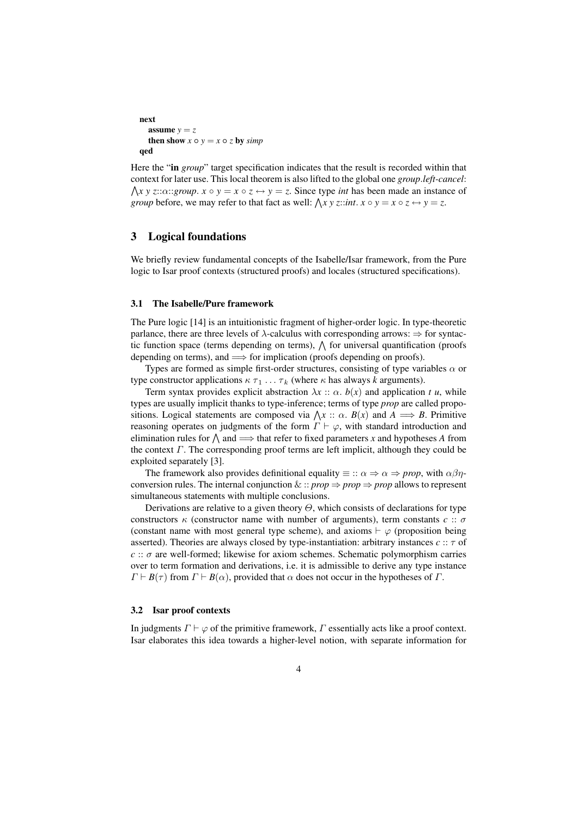```
next
  assume y = zthen show x \circ y = x \circ z by simp
qed
```
Here the "in *group*" target specification indicates that the result is recorded within that context for later use. This local theorem is also lifted to the global one *group*.*left-cancel*:  $\bigwedge xy$  z:: $\alpha$ ::*group*.  $x \circ y = x \circ z \leftrightarrow y = z$ . Since type *int* has been made an instance of *group* before, we may refer to that fact as well:  $\bigwedge xy$  *z*:*:int*.  $x \circ y = x \circ z \leftrightarrow y = z$ .

### 3 Logical foundations

We briefly review fundamental concepts of the Isabelle/Isar framework, from the Pure logic to Isar proof contexts (structured proofs) and locales (structured specifications).

#### 3.1 The Isabelle/Pure framework

The Pure logic [14] is an intuitionistic fragment of higher-order logic. In type-theoretic parlance, there are three levels of  $\lambda$ -calculus with corresponding arrows:  $\Rightarrow$  for syntactic function space (terms depending on terms),  $\bigwedge$  for universal quantification (proofs depending on terms), and  $\implies$  for implication (proofs depending on proofs).

Types are formed as simple first-order structures, consisting of type variables  $\alpha$  or type constructor applications  $\kappa \tau_1 \ldots \tau_k$  (where  $\kappa$  has always *k* arguments).

Term syntax provides explicit abstraction  $\lambda x :: \alpha$ .  $b(x)$  and application *tu*, while types are usually implicit thanks to type-inference; terms of type *prop* are called propositions. Logical statements are composed via  $\bigwedge x :: \alpha$ .  $B(x)$  and  $A \implies B$ . Primitive reasoning operates on judgments of the form  $\Gamma \vdash \varphi$ , with standard introduction and elimination rules for  $\bigwedge$  and  $\Longrightarrow$  that refer to fixed parameters x and hypotheses A from the context  $\Gamma$ . The corresponding proof terms are left implicit, although they could be exploited separately [3].

The framework also provides definitional equality  $\equiv$  ::  $\alpha \Rightarrow \alpha \Rightarrow prop$ , with  $\alpha\beta\eta$ conversion rules. The internal conjunction  $\&$ :: *prop*  $\Rightarrow$  *prop*  $\Rightarrow$  *prop* allows to represent simultaneous statements with multiple conclusions.

Derivations are relative to a given theory  $\Theta$ , which consists of declarations for type constructors  $\kappa$  (constructor name with number of arguments), term constants  $c :: \sigma$ (constant name with most general type scheme), and axioms  $\vdash \varphi$  (proposition being asserted). Theories are always closed by type-instantiation: arbitrary instances *c* :: τ of  $c$  ::  $\sigma$  are well-formed; likewise for axiom schemes. Schematic polymorphism carries over to term formation and derivations, i.e. it is admissible to derive any type instance  $\Gamma \vdash B(\tau)$  from  $\Gamma \vdash B(\alpha)$ , provided that  $\alpha$  does not occur in the hypotheses of  $\Gamma$ .

### 3.2 Isar proof contexts

In judgments  $\Gamma \vdash \varphi$  of the primitive framework,  $\Gamma$  essentially acts like a proof context. Isar elaborates this idea towards a higher-level notion, with separate information for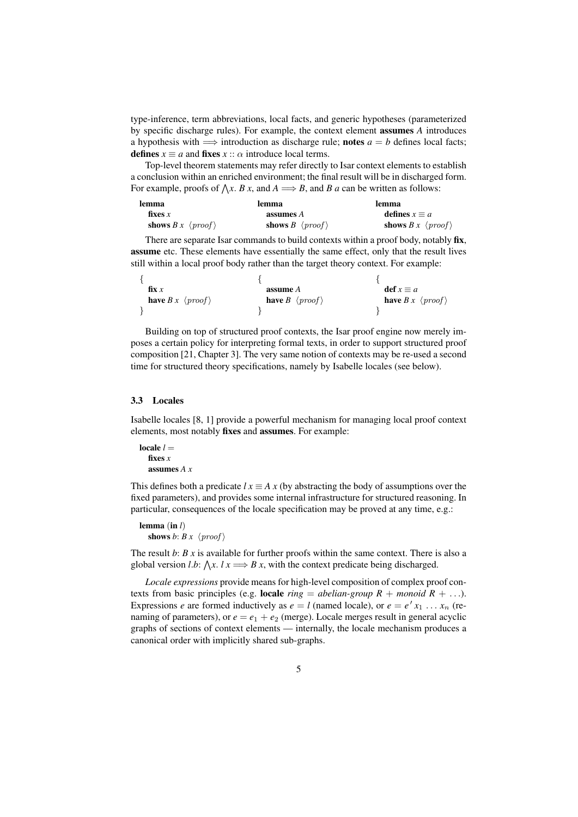type-inference, term abbreviations, local facts, and generic hypotheses (parameterized by specific discharge rules). For example, the context element assumes *A* introduces a hypothesis with  $\implies$  introduction as discharge rule; notes  $a = b$  defines local facts; defines  $x \equiv a$  and fixes  $x :: \alpha$  introduce local terms.

Top-level theorem statements may refer directly to Isar context elements to establish a conclusion within an enriched environment; the final result will be in discharged form. For example, proofs of  $\bigwedge x$ . *B x*, and *A*  $\Longrightarrow$  *B*, and *B a* can be written as follows:

| lemma                             | lemma                           | lemma                             |
|-----------------------------------|---------------------------------|-----------------------------------|
| fixes $x$                         | assumes $A$                     | defines $x \equiv a$              |
| shows $B x \langle proof \rangle$ | shows $B \langle proof \rangle$ | shows $B x \langle proof \rangle$ |

There are separate Isar commands to build contexts within a proof body, notably fix, assume etc. These elements have essentially the same effect, only that the result lives still within a local proof body rather than the target theory context. For example:

| fix $x$                                 | assume $A$                            | $\det x \equiv a$                       |
|-----------------------------------------|---------------------------------------|-----------------------------------------|
| <b>have</b> $B x \langle proof \rangle$ | <b>have</b> $B \langle proof \rangle$ | <b>have</b> $B x \langle proof \rangle$ |
|                                         |                                       |                                         |

Building on top of structured proof contexts, the Isar proof engine now merely imposes a certain policy for interpreting formal texts, in order to support structured proof composition [21, Chapter 3]. The very same notion of contexts may be re-used a second time for structured theory specifications, namely by Isabelle locales (see below).

### 3.3 Locales

Isabelle locales [8, 1] provide a powerful mechanism for managing local proof context elements, most notably fixes and assumes. For example:

 $locale l =$ fixes *x* assumes *A x*

This defines both a predicate  $l x \equiv A x$  (by abstracting the body of assumptions over the fixed parameters), and provides some internal infrastructure for structured reasoning. In particular, consequences of the locale specification may be proved at any time, e.g.:

lemma (in *l*) shows *b*: *B* x  $\langle proof \rangle$ 

The result *b*: *B x* is available for further proofs within the same context. There is also a global version *l.b*:  $\bigwedge x$ .  $l x \Longrightarrow B x$ , with the context predicate being discharged.

*Locale expressions* provide means for high-level composition of complex proof contexts from basic principles (e.g. locale *ring* = *abelian-group*  $R + monoid R + ...$ ). Expressions *e* are formed inductively as  $e = l$  (named locale), or  $e = e^t x_1 \dots x_n$  (renaming of parameters), or  $e = e_1 + e_2$  (merge). Locale merges result in general acyclic graphs of sections of context elements — internally, the locale mechanism produces a canonical order with implicitly shared sub-graphs.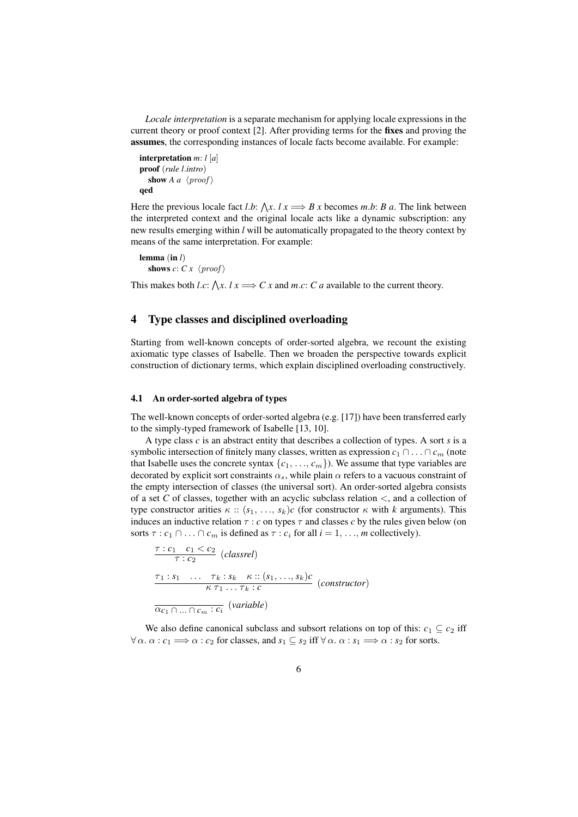*Locale interpretation* is a separate mechanism for applying locale expressions in the current theory or proof context [2]. After providing terms for the fixes and proving the assumes, the corresponding instances of locale facts become available. For example:

```
interpretation m: l [a]
proof (rule l.intro)
   show A a \langle proof \rangleqed
```
Here the previous locale fact *l.b*:  $\bigwedge x$ .  $l x \Longrightarrow B x$  becomes *m.b*: *B a*. The link between the interpreted context and the original locale acts like a dynamic subscription: any new results emerging within *l* will be automatically propagated to the theory context by means of the same interpretation. For example:

lemma (in *l*) shows *c*:  $Cx \langle proof \rangle$ 

This makes both *l.c*:  $\bigwedge x$ .  $l x \Longrightarrow C x$  and *m.c*: *C a* available to the current theory.

# 4 Type classes and disciplined overloading

Starting from well-known concepts of order-sorted algebra, we recount the existing axiomatic type classes of Isabelle. Then we broaden the perspective towards explicit construction of dictionary terms, which explain disciplined overloading constructively.

#### 4.1 An order-sorted algebra of types

The well-known concepts of order-sorted algebra (e.g. [17]) have been transferred early to the simply-typed framework of Isabelle [13, 10].

A type class *c* is an abstract entity that describes a collection of types. A sort *s* is a symbolic intersection of finitely many classes, written as expression  $c_1 \cap \ldots \cap c_m$  (note that Isabelle uses the concrete syntax  $\{c_1, \ldots, c_m\}$ . We assume that type variables are decorated by explicit sort constraints  $\alpha_s$ , while plain  $\alpha$  refers to a vacuous constraint of the empty intersection of classes (the universal sort). An order-sorted algebra consists of a set *C* of classes, together with an acyclic subclass relation <, and a collection of type constructor arities  $\kappa$  ::  $(s_1, \ldots, s_k)c$  (for constructor  $\kappa$  with  $k$  arguments). This induces an inductive relation  $\tau : c$  on types  $\tau$  and classes *c* by the rules given below (on sorts  $\tau : c_1 \cap \ldots \cap c_m$  is defined as  $\tau : c_i$  for all  $i = 1, \ldots, m$  collectively).

$$
\frac{\tau : c_1 \quad c_1 < c_2}{\tau : c_2} \quad \text{(classrel)}
$$
\n
$$
\frac{\tau_1 : s_1 \quad \dots \quad \tau_k : s_k \quad \kappa :: (s_1, \dots, s_k)c}{\kappa \tau_1 \dots \tau_k : c} \quad \text{(constructor)}
$$
\n
$$
\frac{\alpha_{c_1 \cap \dots \cap c_m : c_i} \quad \text{(variable)}}
$$

We also define canonical subclass and subsort relations on top of this:  $c_1 \,\subset c_2$  iff  $\forall \alpha \ldotp \alpha : c_1 \Longrightarrow \alpha : c_2$  for classes, and  $s_1 \subseteq s_2$  iff  $\forall \alpha \ldotp \alpha : s_1 \Longrightarrow \alpha : s_2$  for sorts.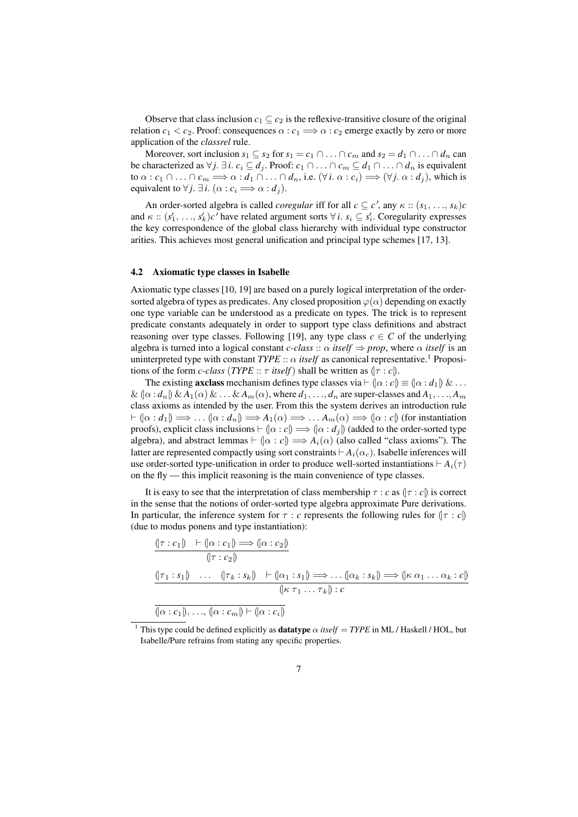Observe that class inclusion  $c_1 \subseteq c_2$  is the reflexive-transitive closure of the original relation  $c_1 < c_2$ . Proof: consequences  $\alpha : c_1 \Longrightarrow \alpha : c_2$  emerge exactly by zero or more application of the *classrel* rule.

Moreover, sort inclusion  $s_1 \subseteq s_2$  for  $s_1 = c_1 \cap \ldots \cap c_m$  and  $s_2 = d_1 \cap \ldots \cap d_n$  can be characterized as  $\forall j$ .  $\exists i$ .  $c_i \subseteq d_j$ . Proof:  $c_1 \cap \ldots \cap c_m \subseteq d_1 \cap \ldots \cap d_n$  is equivalent to  $\alpha : c_1 \cap ... \cap c_m \Longrightarrow \alpha : d_1 \cap ... \cap d_n$ , i.e.  $(\forall i. \alpha : c_i) \Longrightarrow (\forall j. \alpha : d_j)$ , which is equivalent to  $\forall j$ .  $\exists i$ .  $(\alpha : c_i \Longrightarrow \alpha : d_j)$ .

An order-sorted algebra is called *coregular* iff for all  $c \subseteq c'$ , any  $\kappa :: (s_1, \ldots, s_k)c$ and  $\kappa$  ::  $(s'_1, \ldots, s'_k)c'$  have related argument sorts  $\forall i$ .  $s_i \subseteq s'_i$ . Coregularity expresses the key correspondence of the global class hierarchy with individual type constructor arities. This achieves most general unification and principal type schemes [17, 13].

#### 4.2 Axiomatic type classes in Isabelle

Axiomatic type classes [10, 19] are based on a purely logical interpretation of the ordersorted algebra of types as predicates. Any closed proposition  $\varphi(\alpha)$  depending on exactly one type variable can be understood as a predicate on types. The trick is to represent predicate constants adequately in order to support type class definitions and abstract reasoning over type classes. Following [19], any type class  $c \in C$  of the underlying algebra is turned into a logical constant *c-class* ::  $\alpha$  *itself*  $\Rightarrow$  *prop*, where  $\alpha$  *itself* is an uninterpreted type with constant  $TYPE$  ::  $\alpha$  *itself* as canonical representative.<sup>1</sup> Propositions of the form *c-class* (*TYPE* ::  $\tau$  *itself*) shall be written as  $(\tau : c)$ .

The existing **axclass** mechanism defines type classes via  $\vdash (\alpha : c) \equiv (\alpha : d_1) \& \dots$  $\&$   $\alpha : d_n \& A_1(\alpha) \& \ldots \& A_m(\alpha)$ , where  $d_1, \ldots, d_n$  are super-classes and  $A_1, \ldots, A_m$ class axioms as intended by the user. From this the system derives an introduction rule  $\vdash (\alpha : d_1) \Longrightarrow ... (\alpha : d_n) \Longrightarrow A_1(\alpha) \Longrightarrow ... A_m(\alpha) \Longrightarrow (\alpha : c)$  (for instantiation proofs), explicit class inclusions  $\vdash (\alpha : c) \Longrightarrow (\alpha : d_j)$  (added to the order-sorted type algebra), and abstract lemmas  $\vdash (\alpha : c) \Longrightarrow A_i(\alpha)$  (also called "class axioms"). The latter are represented compactly using sort constraints  $\vdash A_i(\alpha_c)$ . Isabelle inferences will use order-sorted type-unification in order to produce well-sorted instantiations  $\vdash A_i(\tau)$ on the fly — this implicit reasoning is the main convenience of type classes.

It is easy to see that the interpretation of class membership  $\tau : c$  as  $(\tau : c)$  is correct in the sense that the notions of order-sorted type algebra approximate Pure derivations. In particular, the inference system for  $\tau : c$  represents the following rules for  $(\tau : c)$ (due to modus ponens and type instantiation):

$$
\frac{(\tau : c_1) \quad \vdash (\alpha : c_1) \Longrightarrow (\alpha : c_2)}{(\tau : c_2)}
$$
\n
$$
\frac{(\tau_1 : s_1) \quad \ldots \quad (\tau_k : s_k) \quad \vdash (\alpha_1 : s_1) \Longrightarrow \ldots (\alpha_k : s_k) \Longrightarrow (\kappa \alpha_1 \ldots \alpha_k : c)}{(\kappa \tau_1 \ldots \tau_k) : c}
$$
\n
$$
\frac{(\alpha : c_1), \ldots, (\alpha : c_m) \vdash (\alpha : c_i)}{(\alpha : c_m) \vdash (\alpha : c_i)}
$$

<sup>&</sup>lt;sup>1</sup> This type could be defined explicitly as **datatype**  $\alpha$  *itself* = *TYPE* in ML/Haskell/HOL, but Isabelle/Pure refrains from stating any specific properties.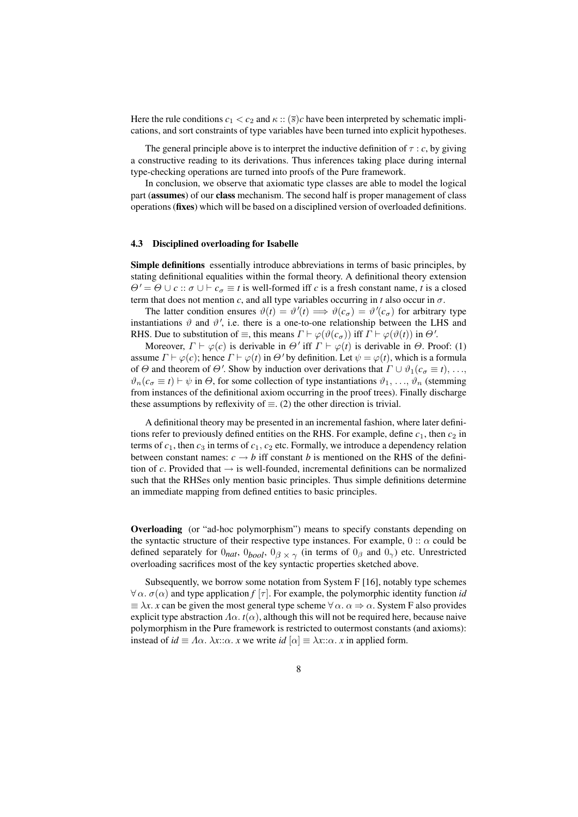Here the rule conditions  $c_1 < c_2$  and  $\kappa$  ::  $(\overline{s})c$  have been interpreted by schematic implications, and sort constraints of type variables have been turned into explicit hypotheses.

The general principle above is to interpret the inductive definition of  $\tau : c$ , by giving a constructive reading to its derivations. Thus inferences taking place during internal type-checking operations are turned into proofs of the Pure framework.

In conclusion, we observe that axiomatic type classes are able to model the logical part (assumes) of our class mechanism. The second half is proper management of class operations (fixes) which will be based on a disciplined version of overloaded definitions.

#### 4.3 Disciplined overloading for Isabelle

Simple definitions essentially introduce abbreviations in terms of basic principles, by stating definitional equalities within the formal theory. A definitional theory extension  $\Theta' = \Theta \cup c :: \sigma \cup \vdash c_{\sigma} \equiv t$  is well-formed iff *c* is a fresh constant name, *t* is a closed term that does not mention *c*, and all type variables occurring in *t* also occur in  $\sigma$ .

The latter condition ensures  $\vartheta(t) = \vartheta'(t) \implies \vartheta(c_{\sigma}) = \vartheta'(c_{\sigma})$  for arbitrary type instantiations  $\vartheta$  and  $\vartheta'$ , i.e. there is a one-to-one relationship between the LHS and RHS. Due to substitution of  $\equiv$ , this means  $\Gamma \vdash \varphi(\vartheta(c_{\sigma}))$  iff  $\Gamma \vdash \varphi(\vartheta(t))$  in  $\Theta'$ .

Moreover,  $\Gamma \vdash \varphi(c)$  is derivable in  $\Theta'$  iff  $\Gamma \vdash \varphi(t)$  is derivable in  $\Theta$ . Proof: (1) assume  $\Gamma \vdash \varphi(c)$ ; hence  $\Gamma \vdash \varphi(t)$  in  $\Theta'$  by definition. Let  $\psi = \varphi(t)$ , which is a formula of  $\Theta$  and theorem of  $\Theta'$ . Show by induction over derivations that  $\Gamma \cup \vartheta_1(c_{\sigma} \equiv t), \ldots$ ,  $\vartheta_n(c_\sigma \equiv t) \vdash \psi$  in  $\Theta$ , for some collection of type instantiations  $\vartheta_1, \ldots, \vartheta_n$  (stemming from instances of the definitional axiom occurring in the proof trees). Finally discharge these assumptions by reflexivity of  $\equiv$ . (2) the other direction is trivial.

A definitional theory may be presented in an incremental fashion, where later definitions refer to previously defined entities on the RHS. For example, define  $c_1$ , then  $c_2$  in terms of  $c_1$ , then  $c_3$  in terms of  $c_1$ ,  $c_2$  etc. Formally, we introduce a dependency relation between constant names:  $c \rightarrow b$  iff constant *b* is mentioned on the RHS of the definition of  $c$ . Provided that  $\rightarrow$  is well-founded, incremental definitions can be normalized such that the RHSes only mention basic principles. Thus simple definitions determine an immediate mapping from defined entities to basic principles.

Overloading (or "ad-hoc polymorphism") means to specify constants depending on the syntactic structure of their respective type instances. For example,  $0:: \alpha$  could be defined separately for  $0_{nat}$ ,  $0_{bool}$ ,  $0_{\beta \times \gamma}$  (in terms of  $0_{\beta}$  and  $0_{\gamma}$ ) etc. Unrestricted overloading sacrifices most of the key syntactic properties sketched above.

Subsequently, we borrow some notation from System F [16], notably type schemes  $\forall \alpha$ .  $\sigma(\alpha)$  and type application f [ $\tau$ ]. For example, the polymorphic identity function *id*  $\equiv \lambda x$ . *x* can be given the most general type scheme  $\forall \alpha \cdot \alpha \Rightarrow \alpha$ . System F also provides explicit type abstraction  $\Lambda \alpha$ .  $t(\alpha)$ , although this will not be required here, because naive polymorphism in the Pure framework is restricted to outermost constants (and axioms): instead of  $id \equiv \Lambda \alpha$ .  $\lambda x$ :: $\alpha$ . *x* we write  $id [\alpha] \equiv \lambda x$ :: $\alpha$ . *x* in applied form.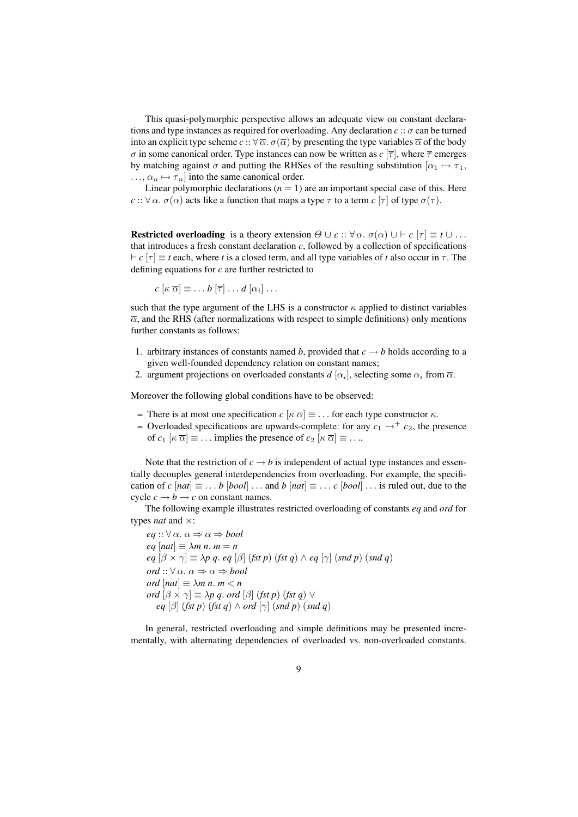This quasi-polymorphic perspective allows an adequate view on constant declarations and type instances as required for overloading. Any declaration *c* :: σ can be turned into an explicit type scheme  $c$  ::  $\forall \overline{\alpha}$ .  $\sigma(\overline{\alpha})$  by presenting the type variables  $\overline{\alpha}$  of the body *σ* in some canonical order. Type instances can now be written as  $c[\overline{\tau}]$ , where  $\overline{\tau}$  emerges by matching against  $\sigma$  and putting the RHSes of the resulting substitution  $\alpha_1 \mapsto \tau_1$ ,  $\ldots, \alpha_n \mapsto \tau_n$  into the same canonical order.

Linear polymorphic declarations  $(n = 1)$  are an important special case of this. Here *c* ::  $\forall \alpha$ .  $\sigma(\alpha)$  acts like a function that maps a type  $\tau$  to a term *c* [ $\tau$ ] of type  $\sigma(\tau)$ .

**Restricted overloading** is a theory extension  $\Theta \cup c :: \forall \alpha$ .  $\sigma(\alpha) \cup \vdash c [\tau] \equiv t \cup ...$ that introduces a fresh constant declaration  $c$ , followed by a collection of specifications  $\vert c \vert \tau \vert \equiv t$  each, where *t* is a closed term, and all type variables of *t* also occur in  $\tau$ . The defining equations for *c* are further restricted to

$$
c \left[ \kappa \overline{\alpha} \right] \equiv \ldots b \left[ \overline{\tau} \right] \ldots d \left[ \alpha_i \right] \ldots
$$

such that the type argument of the LHS is a constructor  $\kappa$  applied to distinct variables  $\overline{\alpha}$ , and the RHS (after normalizations with respect to simple definitions) only mentions further constants as follows:

- 1. arbitrary instances of constants named *b*, provided that  $c \rightarrow b$  holds according to a given well-founded dependency relation on constant names;
- 2. argument projections on overloaded constants  $d$  [ $\alpha_i$ ], selecting some  $\alpha_i$  from  $\overline{\alpha}$ .

Moreover the following global conditions have to be observed:

- There is at most one specification  $c \left[ \kappa \overline{\alpha} \right] \equiv \dots$  for each type constructor  $\kappa$ .
- Overloaded specifications are upwards-complete: for any  $c_1 \rightarrow c_2$ , the presence of  $c_1$  [ $\kappa \overline{\alpha}$ ]  $\equiv$  ... implies the presence of  $c_2$  [ $\kappa \overline{\alpha}$ ]  $\equiv$  ...

Note that the restriction of  $c \rightarrow b$  is independent of actual type instances and essentially decouples general interdependencies from overloading. For example, the specification of *c*  $[nat] \equiv \dots b$   $[bool] \dots$  and  $b$   $[nat] \equiv \dots c$   $[bool] \dots$  is ruled out, due to the cycle  $c \rightarrow b \rightarrow c$  on constant names.

The following example illustrates restricted overloading of constants *eq* and *ord* for types *nat* and ×:

 $eq: \forall \alpha \ldotp \alpha \Rightarrow \alpha \Rightarrow \text{bool}$  $eq$  [*nat*]  $\equiv \lambda m n$ .  $m = n$ *eq*  $[\beta \times \gamma] \equiv \lambda p q$ . *eq*  $[\beta]$  (*fst p*) (*fst q*)  $\wedge$  *eq*  $[\gamma]$  (*snd p*) (*snd q*) *ord* ::  $\forall \alpha \ldotp \alpha \Rightarrow \alpha \Rightarrow \text{bool}$ *ord*  $[nat] \equiv \lambda m n$ .  $m < n$ *ord*  $[\beta \times \gamma] \equiv \lambda p q$ *. ord*  $[\beta]$  (*fst p*) (*fst q*)  $\vee$ *eq*  $[\beta]$  (*fst p*) (*fst q*)  $\land$  *ord*  $[\gamma]$  (*snd p*) (*snd q*)

In general, restricted overloading and simple definitions may be presented incrementally, with alternating dependencies of overloaded vs. non-overloaded constants.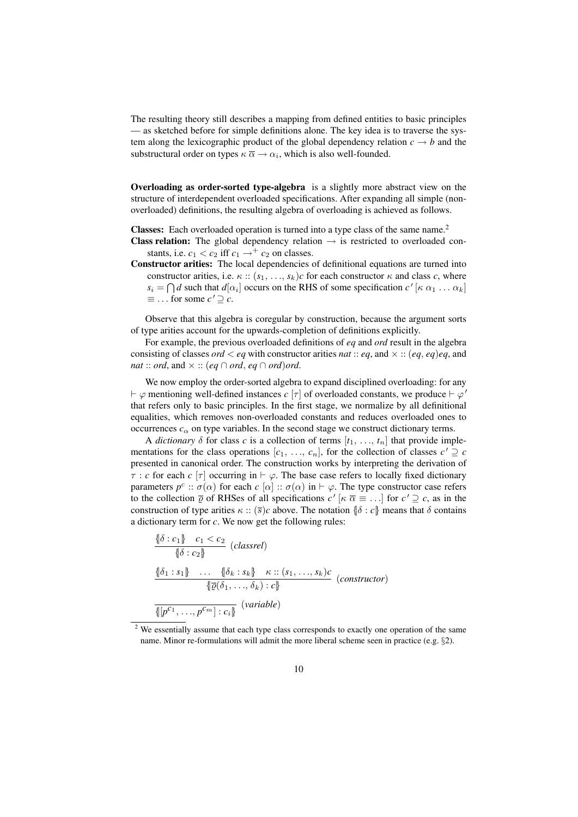The resulting theory still describes a mapping from defined entities to basic principles — as sketched before for simple definitions alone. The key idea is to traverse the system along the lexicographic product of the global dependency relation  $c \rightarrow b$  and the substructural order on types  $\kappa \overline{\alpha} \rightarrow \alpha_i$ , which is also well-founded.

Overloading as order-sorted type-algebra is a slightly more abstract view on the structure of interdependent overloaded specifications. After expanding all simple (nonoverloaded) definitions, the resulting algebra of overloading is achieved as follows.

Classes: Each overloaded operation is turned into a type class of the same name.<sup>2</sup>

**Class relation:** The global dependency relation  $\rightarrow$  is restricted to overloaded constants, i.e.  $c_1 < c_2$  iff  $c_1 \rightarrow c_2$  on classes.

Constructor arities: The local dependencies of definitional equations are turned into constructor arities, i.e.  $\kappa$  ::  $(s_1, \ldots, s_k)c$  for each constructor  $\kappa$  and class *c*, where  $s_i = \bigcap d$  such that  $d[\alpha_i]$  occurs on the RHS of some specification  $c'$  [ $\kappa \alpha_1 \ldots \alpha_k$ ]  $\equiv$ ... for some  $c' \supseteq c$ .

Observe that this algebra is coregular by construction, because the argument sorts of type arities account for the upwards-completion of definitions explicitly.

For example, the previous overloaded definitions of *eq* and *ord* result in the algebra consisting of classes *ord*  $\lt$  *eq* with constructor arities *nat* :: *eq*, and  $\times$  :: *(eq, eq)eq*, and *nat* :: *ord*, and  $\times$  :: (*eq*  $\cap$  *ord*, *eq*  $\cap$  *ord*)*ord*.

We now employ the order-sorted algebra to expand disciplined overloading: for any  $\vdash \varphi$  mentioning well-defined instances *c* [ $\tau$ ] of overloaded constants, we produce  $\vdash \varphi'$ that refers only to basic principles. In the first stage, we normalize by all definitional equalities, which removes non-overloaded constants and reduces overloaded ones to occurrences  $c_{\alpha}$  on type variables. In the second stage we construct dictionary terms.

A *dictionary*  $\delta$  for class *c* is a collection of terms  $[t_1, \ldots, t_n]$  that provide implementations for the class operations  $[c_1, ..., c_n]$ , for the collection of classes  $c' \supseteq c$ presented in canonical order. The construction works by interpreting the derivation of  $\tau$ : *c* for each *c* [ $\tau$ ] occurring in  $\vdash \varphi$ . The base case refers to locally fixed dictionary parameters  $p^c :: \sigma(\alpha)$  for each  $c [\alpha] :: \sigma(\alpha)$  in  $\vdash \varphi$ . The type constructor case refers to the collection  $\overline{\varrho}$  of RHSes of all specifications  $c'$  [ $\kappa \overline{\alpha} \equiv ...$ ] for  $c' \supseteq c$ , as in the construction of type arities  $\kappa$  ::  $(\bar{s})c$  above. The notation  $\{\delta : c\}$  means that  $\delta$  contains a dictionary term for *c*. We now get the following rules:

$$
\frac{\{\delta : c_1\} \quad c_1 < c_2}{\{\delta : c_2\}} \quad \text{(classrel)}
$$
\n
$$
\frac{\{\delta_1 : s_1\} \quad \dots \quad \{\delta_k : s_k\} \quad \kappa :: (s_1, \dots, s_k)c}{\{\overline{\varrho}(\delta_1, \dots, \delta_k) : c\}} \quad \text{(constructor)}
$$
\n
$$
\frac{\{\sigma^c : s_k\} \quad \text{(variable)}}{\{\sigma^c : \dots, \rho^c : s_k\} \quad \text{(variable)}}
$$

<sup>&</sup>lt;sup>2</sup> We essentially assume that each type class corresponds to exactly one operation of the same name. Minor re-formulations will admit the more liberal scheme seen in practice (e.g. §2).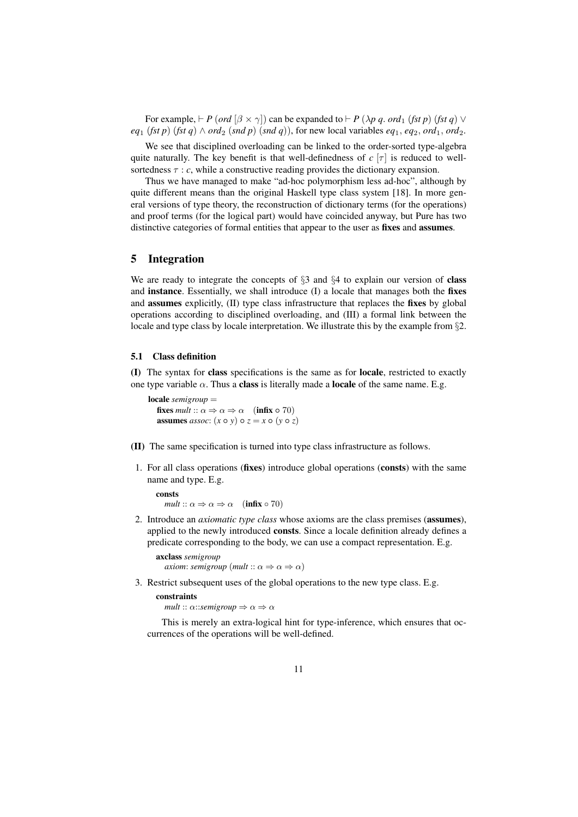For example,  $\vdash P$  (*ord*  $(\beta \times \gamma)$ ) can be expanded to  $\vdash P$  ( $\lambda p$  q. *ord*<sub>1</sub> (*fst p*) (*fst q*)  $\vee$  $eq_1$  (*fst p*) (*fst q*)  $\land$  *ord*<sub>2</sub> (*snd p*) (*snd q*)), for new local variables  $eq_1$ ,  $eq_2$ ,  $ord_1$ ,  $ord_2$ .

We see that disciplined overloading can be linked to the order-sorted type-algebra quite naturally. The key benefit is that well-definedness of  $c \left[ \tau \right]$  is reduced to wellsortedness  $\tau : c$ , while a constructive reading provides the dictionary expansion.

Thus we have managed to make "ad-hoc polymorphism less ad-hoc", although by quite different means than the original Haskell type class system [18]. In more general versions of type theory, the reconstruction of dictionary terms (for the operations) and proof terms (for the logical part) would have coincided anyway, but Pure has two distinctive categories of formal entities that appear to the user as fixes and assumes.

### 5 Integration

We are ready to integrate the concepts of  $\S$ 3 and  $\S$ 4 to explain our version of **class** and instance. Essentially, we shall introduce (I) a locale that manages both the fixes and assumes explicitly, (II) type class infrastructure that replaces the fixes by global operations according to disciplined overloading, and (III) a formal link between the locale and type class by locale interpretation. We illustrate this by the example from  $\S$ 2.

### 5.1 Class definition

(I) The syntax for class specifications is the same as for locale, restricted to exactly one type variable  $\alpha$ . Thus a **class** is literally made a **locale** of the same name. E.g.

```
locale semigroup =
   fixes mult :: \alpha \Rightarrow \alpha \Rightarrow \alpha (infix \circ 70)
   assumes assoc: (x \circ y) \circ z = x \circ (y \circ z)
```
(II) The same specification is turned into type class infrastructure as follows.

1. For all class operations (fixes) introduce global operations (consts) with the same name and type. E.g.

```
consts
    mult :: \alpha \Rightarrow \alpha \Rightarrow \alpha (infix \circ 70)
```
2. Introduce an *axiomatic type class* whose axioms are the class premises (assumes), applied to the newly introduced consts. Since a locale definition already defines a predicate corresponding to the body, we can use a compact representation. E.g.

```
axclass semigroup
   axiom: semigroup (mult :: \alpha \Rightarrow \alpha \Rightarrow \alpha)
```
3. Restrict subsequent uses of the global operations to the new type class. E.g.

```
constraints
```

```
mult :: \alpha::semigroup \Rightarrow \alpha \Rightarrow \alpha
```
This is merely an extra-logical hint for type-inference, which ensures that occurrences of the operations will be well-defined.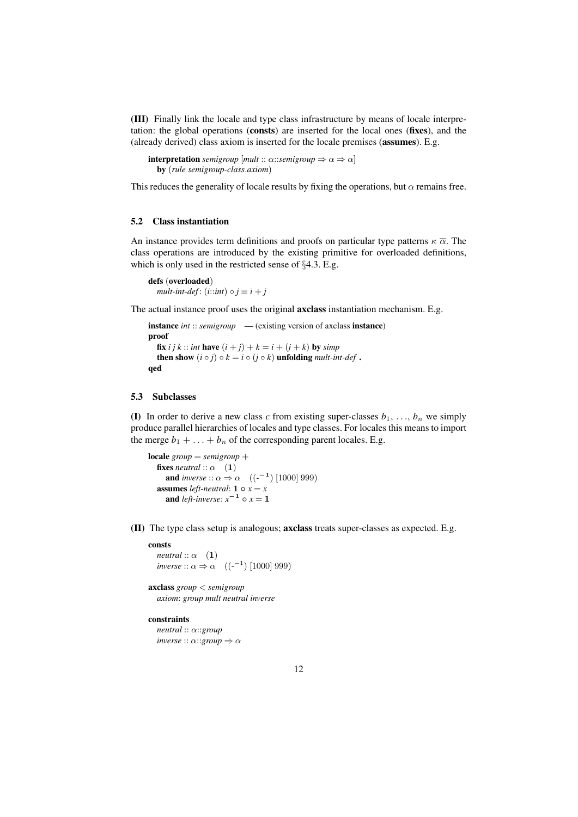(III) Finally link the locale and type class infrastructure by means of locale interpretation: the global operations (consts) are inserted for the local ones (fixes), and the (already derived) class axiom is inserted for the locale premises (assumes). E.g.

**interpretation** *semigroup*  $[mult:: \alpha::semigroup \Rightarrow \alpha \Rightarrow \alpha]$ by (*rule semigroup-class*.*axiom*)

This reduces the generality of locale results by fixing the operations, but  $\alpha$  remains free.

### 5.2 Class instantiation

An instance provides term definitions and proofs on particular type patterns  $\kappa \bar{\alpha}$ . The class operations are introduced by the existing primitive for overloaded definitions, which is only used in the restricted sense of §4.3. E.g.

defs (overloaded) *mult-int-def* :  $(i::int) \circ j \equiv i + j$ 

The actual instance proof uses the original axclass instantiation mechanism. E.g.

```
instance int :: semigroup — (existing version of axclass instance)
proof
  fix i j k :: int have (i + j) + k = i + (j + k) by simp
  then show (i \circ j) \circ k = i \circ (j \circ k) unfolding mult-int-def.
qed
```
#### 5.3 Subclasses

(I) In order to derive a new class *c* from existing super-classes  $b_1, \ldots, b_n$  we simply produce parallel hierarchies of locales and type classes. For locales this means to import the merge  $b_1 + \ldots + b_n$  of the corresponding parent locales. E.g.

```
\textbf{locale} \, \textit{group} = \textit{semigroup} + \textbf{true}fixes neutral :: \alpha (1)
       and inverse :: \alpha \Rightarrow \alpha \quad ((-<sup>-1</sup>) [1000] 999)
   assumes left-neutral: 1 \circ x = xand left-inverse: x^{-1} \circ x = 1
```
(II) The type class setup is analogous; axclass treats super-classes as expected. E.g.

```
consts
   neutral :: \alpha (1)
    inverse :: \alpha \Rightarrow \alpha ((-<sup>-1</sup>) [1000] 999)
```

```
axclass group < semigroup
  axiom: group mult neutral inverse
```
### constraints

*neutral* :: α::*group inverse* ::  $\alpha$ :*:group*  $\Rightarrow \alpha$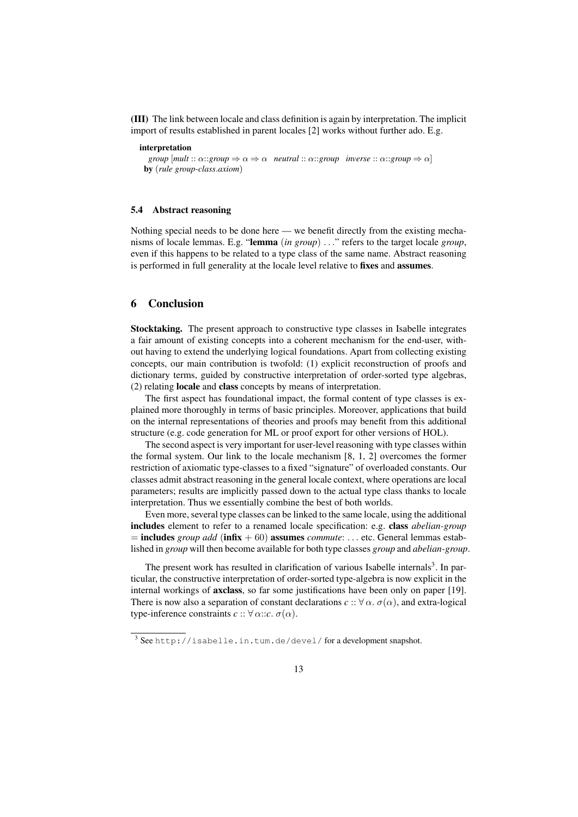(III) The link between locale and class definition is again by interpretation. The implicit import of results established in parent locales [2] works without further ado. E.g.

#### interpretation

```
group [mult:: \alpha:: \alpha:: \alpha up \Rightarrow \alpha \Rightarrow \alpha neutral :: \alpha:: \alpha up \in \alpha inverse :: \alpha:: \alpha up \Rightarrow \alphaby (rule group-class.axiom)
```
### 5.4 Abstract reasoning

Nothing special needs to be done here — we benefit directly from the existing mechanisms of locale lemmas. E.g. "lemma (*in group*) . . ." refers to the target locale *group*, even if this happens to be related to a type class of the same name. Abstract reasoning is performed in full generality at the locale level relative to fixes and assumes.

# 6 Conclusion

Stocktaking. The present approach to constructive type classes in Isabelle integrates a fair amount of existing concepts into a coherent mechanism for the end-user, without having to extend the underlying logical foundations. Apart from collecting existing concepts, our main contribution is twofold: (1) explicit reconstruction of proofs and dictionary terms, guided by constructive interpretation of order-sorted type algebras, (2) relating locale and class concepts by means of interpretation.

The first aspect has foundational impact, the formal content of type classes is explained more thoroughly in terms of basic principles. Moreover, applications that build on the internal representations of theories and proofs may benefit from this additional structure (e.g. code generation for ML or proof export for other versions of HOL).

The second aspect is very important for user-level reasoning with type classes within the formal system. Our link to the locale mechanism [8, 1, 2] overcomes the former restriction of axiomatic type-classes to a fixed "signature" of overloaded constants. Our classes admit abstract reasoning in the general locale context, where operations are local parameters; results are implicitly passed down to the actual type class thanks to locale interpretation. Thus we essentially combine the best of both worlds.

Even more, several type classes can be linked to the same locale, using the additional includes element to refer to a renamed locale specification: e.g. class *abelian-group*  $=$  **includes** *group add* (**infix**  $+60$ ) **assumes** *commute*: ... etc. General lemmas established in *group* will then become available for both type classes *group* and *abelian-group*.

The present work has resulted in clarification of various Isabelle internals<sup>3</sup>. In particular, the constructive interpretation of order-sorted type-algebra is now explicit in the internal workings of axclass, so far some justifications have been only on paper [19]. There is now also a separation of constant declarations  $c$  ::  $\forall \alpha$ .  $\sigma(\alpha)$ , and extra-logical type-inference constraints  $c$  ::  $\forall \alpha$ :*c*.  $\sigma(\alpha)$ .

 $3$  See http://isabelle.in.tum.de/devel/for a development snapshot.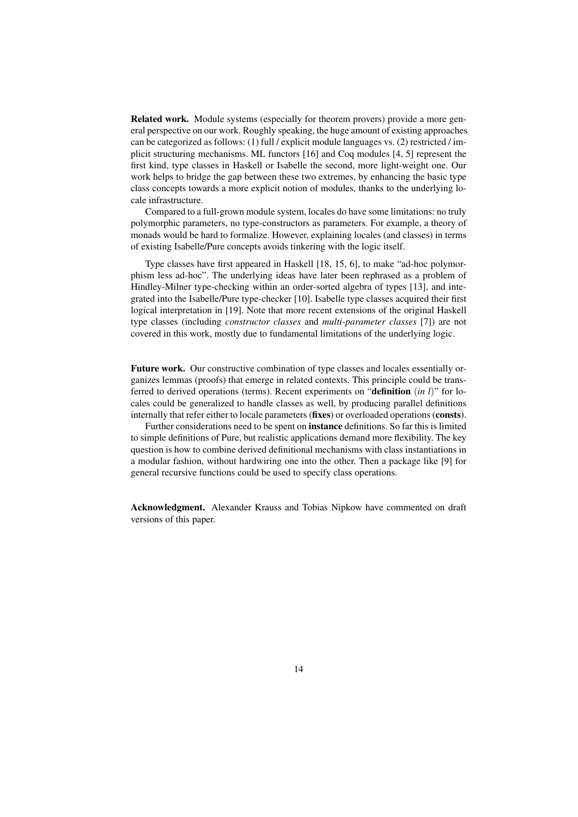Related work. Module systems (especially for theorem provers) provide a more general perspective on our work. Roughly speaking, the huge amount of existing approaches can be categorized as follows: (1) full / explicit module languages vs. (2) restricted / implicit structuring mechanisms. ML functors [16] and Coq modules [4, 5] represent the first kind, type classes in Haskell or Isabelle the second, more light-weight one. Our work helps to bridge the gap between these two extremes, by enhancing the basic type class concepts towards a more explicit notion of modules, thanks to the underlying locale infrastructure.

Compared to a full-grown module system, locales do have some limitations: no truly polymorphic parameters, no type-constructors as parameters. For example, a theory of monads would be hard to formalize. However, explaining locales (and classes) in terms of existing Isabelle/Pure concepts avoids tinkering with the logic itself.

Type classes have first appeared in Haskell [18, 15, 6], to make "ad-hoc polymorphism less ad-hoc". The underlying ideas have later been rephrased as a problem of Hindley-Milner type-checking within an order-sorted algebra of types [13], and integrated into the Isabelle/Pure type-checker [10]. Isabelle type classes acquired their first logical interpretation in [19]. Note that more recent extensions of the original Haskell type classes (including *constructor classes* and *multi-parameter classes* [7]) are not covered in this work, mostly due to fundamental limitations of the underlying logic.

Future work. Our constructive combination of type classes and locales essentially organizes lemmas (proofs) that emerge in related contexts. This principle could be transferred to derived operations (terms). Recent experiments on "definition (*in l*)" for locales could be generalized to handle classes as well, by producing parallel definitions internally that refer either to locale parameters (fixes) or overloaded operations (consts).

Further considerations need to be spent on instance definitions. So far this is limited to simple definitions of Pure, but realistic applications demand more flexibility. The key question is how to combine derived definitional mechanisms with class instantiations in a modular fashion, without hardwiring one into the other. Then a package like [9] for general recursive functions could be used to specify class operations.

Acknowledgment. Alexander Krauss and Tobias Nipkow have commented on draft versions of this paper.